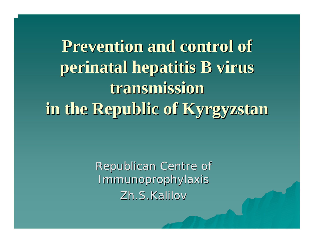**Prevention and control of Prevention and control of perinatal perinatal hepatitis B virus hepatitis B virus transmission transmission**  in the Republic of **Kyrgyzstan** 

> Republican Republican Centre of Immunoprophylaxis Immunoprophylaxis Zh.S.Kalilov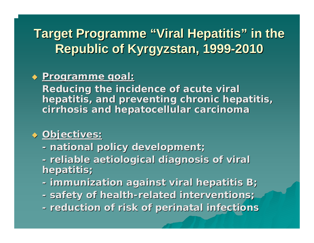### **Target Programme "Viral Hepatitis" in the Republic of Kyrgyzstan, 1999-2010**

#### **Programme Programme goal:**

**Reducing the incidence of acute viral** hepatitis, and preventing chronic hepatitis, **cirrhosis and hepatocellular carcinoma** 

#### **Objectives Objectives:**

- **national policy development national policy development;**
- **reliable reliable aetiological aetiological diagnosis of viral diagnosis of viral hepatitis hepatitis;**
- **immunization against viral hepatitis B immunization against viral hepatitis B;**
- **safety of health safety of health-related interventions related interventions;**
- **reduction of risk of reduction of risk of perinatal perinatal infections infections**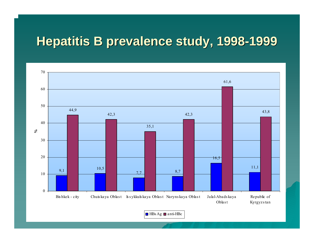### **Hepatitis B prevalence study, Hepatitis B prevalence study, 1998 -1999**



 $\Box$  HBs Ag  $\Box$  anti-HBc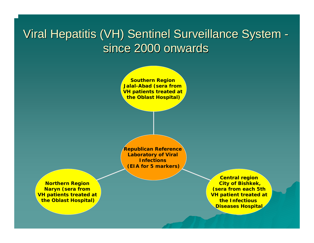### Viral Hepatitis (VH) Sentinel Surveillance System since 2000 onwards



**Republican Reference Laboratory of Viral Infections(EIA for 5 markers)**

**Northern Region Naryn (sera from VH patients treated at the Oblast Hospital)**

**Central region City of Bishkek, (sera from each 5th VH patient treated at the Infectious Diseases Hospital**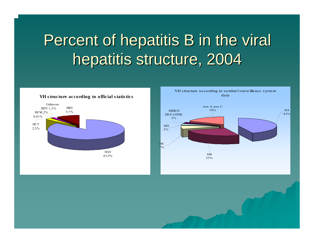# Percent of hepatitis B in the viral hepatitis structure, 2004



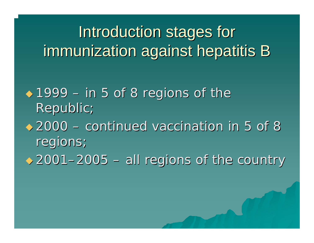Introduction stages for immunization against hepatitis B

 $\leftrightarrow 1999$ – in 5 of 8 regions of the regions of the Republic;

 $\bigstar 2000$  -– continued vaccination in 5 of 8 regions;

 $\triangle$  2001-2005 – $-$  all regions of the country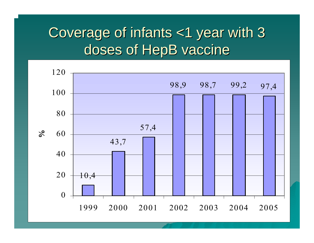## Coverage of infants <1 year with 3 Coverage of infants <1 year with 3 doses of HepB vaccine

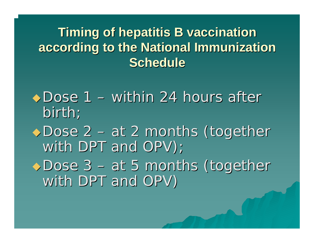## **Timing of hepatitis B vaccination according to the National Immunization according to the National Immunization Schedule Schedule**

◆Dose 1 –– within 24 hours after birth;

◆Dose 2 · – at 2 months (together with DPT and OPV); ◆Dose 3 – at 5 months (together with DPT and OPV )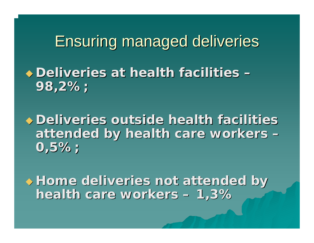Ensuring managed deliveries Ensuring managed deliveries

 **Deliveries at health facilities Deliveries at health facilities 98,2%;**

**Deliveries outside health facilities + attended by health care workers attended by health care workers 0,5%;**

 **Home deliveries not attended by Home deliveries not attended by health care workers health care workers 1,3%**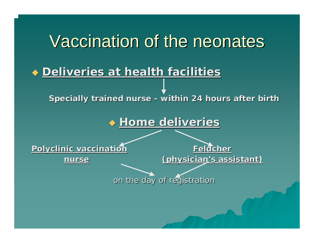# Vaccination of the neonates

#### **Deliveries at health facilities Deliveries at health facilities**

**Specially trained nurse Specially trained nurse - within 24 hours after birth hours after birth**

#### **Home deliveries Home deliveries**

**Polyclinic vaccination Polyclinic vaccination Feldcher Feldcher**

**nurse**

**(physician's assistant) (physician's assistant)**

on the day of registration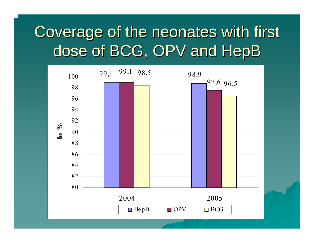# Coverage of the neonates with first dose of BCG, OPV and HepB

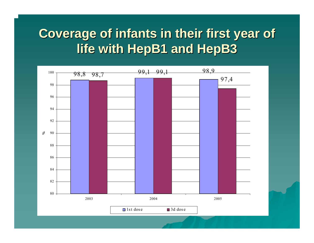### **Coverage of infants in their first year of life with HepB1 and HepB3 life with HepB1 and HepB3**

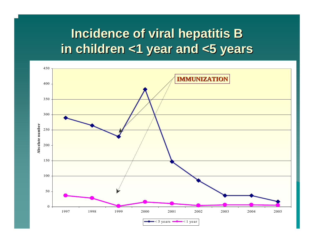### **Incidence of viral hepatitis B in children <1 year and <5 years in children <1 year and <5 years**

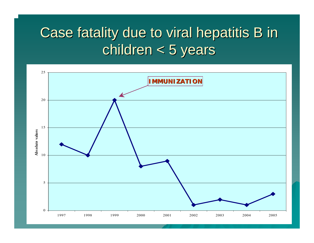# Case fatality due to viral hepatitis B in  $children < 5$  years

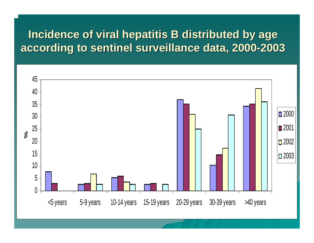#### **Incidence of viral hepatitis B distributed by age** according to sentinel surveillance data, 2000-2003

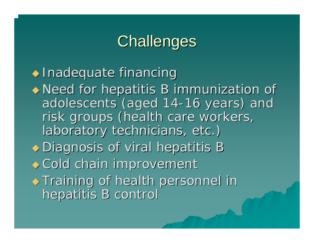# **Challenges**

 $\triangle$  Inadequate financing

 Need for hepatitis B immunization of Need for hepatitis B immunization of adolescents (aged 14-16 years) and risk groups (health care workers, laboratory technicians, etc.)

 $\rightarrow$  Diagnosis of viral hepatitis B

 $\rightarrow$  Cold chain improvement

 $\rightarrow$  Training of health personnel in hepatitis B control hepatitis B control